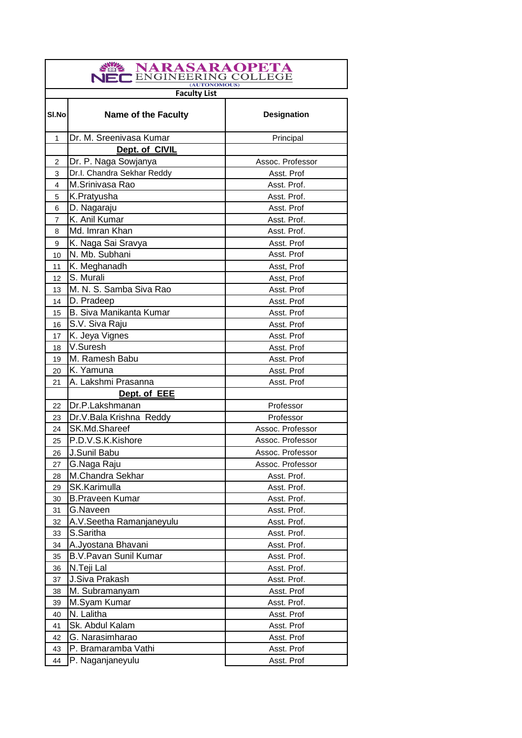| NARASARAOPETA<br><b>ENGINEERING COLLEGE</b><br>(AUTONOMOUS) |                              |                    |
|-------------------------------------------------------------|------------------------------|--------------------|
|                                                             | <b>Faculty List</b>          |                    |
| SI.Nol                                                      | <b>Name of the Faculty</b>   | <b>Designation</b> |
| 1                                                           | Dr. M. Sreenivasa Kumar      | Principal          |
|                                                             | Dept. of CIVIL               |                    |
| 2                                                           | Dr. P. Naga Sowjanya         | Assoc. Professor   |
| 3                                                           | Dr.I. Chandra Sekhar Reddy   | Asst. Prof         |
| 4                                                           | M.Srinivasa Rao              | Asst. Prof.        |
| 5                                                           | K.Pratyusha                  | Asst. Prof.        |
| 6                                                           | D. Nagaraju                  | Asst. Prof         |
| $\overline{7}$                                              | K. Anil Kumar                | Asst. Prof.        |
| 8                                                           | Md. Imran Khan               | Asst. Prof.        |
| 9                                                           | K. Naga Sai Sravya           | Asst. Prof         |
| 10                                                          | N. Mb. Subhani               | Asst. Prof         |
| 11                                                          | K. Meghanadh                 | Asst, Prof         |
| 12                                                          | S. Murali                    | Asst, Prof         |
| 13                                                          | M. N. S. Samba Siva Rao      | Asst. Prof         |
| 14                                                          | D. Pradeep                   | Asst. Prof         |
| 15                                                          | B. Siva Manikanta Kumar      | Asst. Prof         |
| 16                                                          | S.V. Siva Raju               | Asst. Prof         |
| 17                                                          | K. Jeya Vignes               | Asst. Prof         |
| 18                                                          | V.Suresh                     | Asst. Prof         |
| 19                                                          | M. Ramesh Babu               | Asst. Prof         |
| 20                                                          | K. Yamuna                    | Asst. Prof         |
| 21                                                          | A. Lakshmi Prasanna          | Asst. Prof         |
|                                                             | Dept. of EEE                 |                    |
| 22                                                          | Dr.P.Lakshmanan              | Professor          |
| 23                                                          | Dr.V.Bala Krishna Reddy      | Professor          |
| 24                                                          | SK.Md.Shareef                | Assoc. Professor   |
| 25                                                          | P.D.V.S.K.Kishore            | Assoc. Professor   |
| 26                                                          | J.Sunil Babu                 | Assoc. Professor   |
| 27                                                          | G.Naga Raju                  | Assoc. Professor   |
| 28                                                          | M.Chandra Sekhar             | Asst. Prof.        |
| 29                                                          | SK.Karimulla                 | Asst. Prof.        |
| 30                                                          | <b>B.Praveen Kumar</b>       | Asst. Prof.        |
| 31                                                          | G.Naveen                     | Asst. Prof.        |
| 32                                                          | A.V.Seetha Ramanjaneyulu     | Asst. Prof.        |
| 33                                                          | S.Saritha                    | Asst. Prof.        |
| 34                                                          | A.Jyostana Bhavani           | Asst. Prof.        |
| 35                                                          | <b>B.V.Pavan Sunil Kumar</b> | Asst. Prof.        |
| 36                                                          | N.Teji Lal                   | Asst. Prof.        |
| 37                                                          | J.Siva Prakash               | Asst. Prof.        |
| 38                                                          | M. Subramanyam               | Asst. Prof         |
| 39                                                          | M.Syam Kumar                 | Asst. Prof.        |
| 40                                                          | N. Lalitha                   | Asst. Prof         |
| 41                                                          | Sk. Abdul Kalam              | Asst. Prof         |
| 42                                                          | G. Narasimharao              | Asst. Prof         |
| 43                                                          | P. Bramaramba Vathi          | Asst. Prof         |
| 44                                                          | P. Naganjaneyulu             | Asst. Prof         |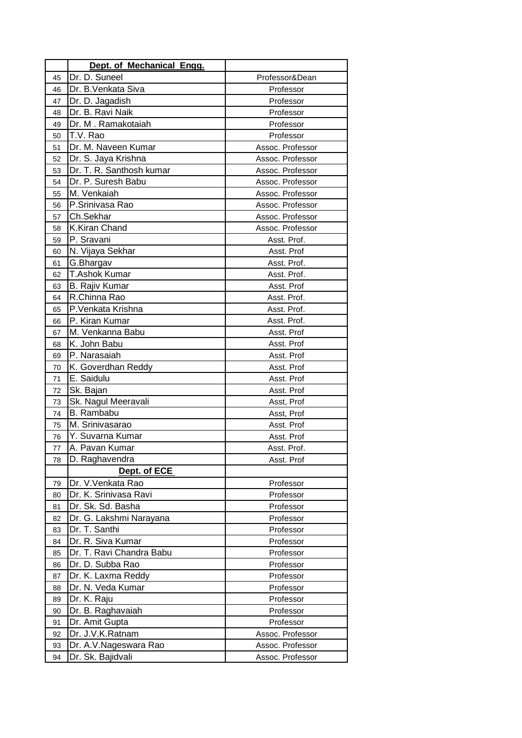|    | Dept. of Mechanical Engg. |                  |
|----|---------------------------|------------------|
| 45 | Dr. D. Suneel             | Professor&Dean   |
| 46 | Dr. B. Venkata Siva       | Professor        |
| 47 | Dr. D. Jagadish           | Professor        |
| 48 | Dr. B. Ravi Naik          | Professor        |
| 49 | Dr. M. Ramakotaiah        | Professor        |
| 50 | T.V. Rao                  | Professor        |
| 51 | Dr. M. Naveen Kumar       | Assoc. Professor |
| 52 | Dr. S. Jaya Krishna       | Assoc. Professor |
| 53 | Dr. T. R. Santhosh kumar  | Assoc. Professor |
| 54 | Dr. P. Suresh Babu        | Assoc. Professor |
| 55 | M. Venkaiah               | Assoc. Professor |
| 56 | P.Srinivasa Rao           | Assoc. Professor |
| 57 | Ch.Sekhar                 | Assoc. Professor |
| 58 | K.Kiran Chand             | Assoc. Professor |
| 59 | P. Sravani                | Asst. Prof.      |
| 60 | N. Vijaya Sekhar          | Asst. Prof       |
| 61 | G.Bhargav                 | Asst. Prof.      |
| 62 | <b>T.Ashok Kumar</b>      | Asst. Prof.      |
| 63 | B. Rajiv Kumar            | Asst. Prof       |
| 64 | R.Chinna Rao              | Asst. Prof.      |
| 65 | P.Venkata Krishna         | Asst. Prof.      |
| 66 | P. Kiran Kumar            | Asst. Prof.      |
| 67 | M. Venkanna Babu          | Asst. Prof       |
| 68 | K. John Babu              | Asst. Prof       |
| 69 | P. Narasaiah              | Asst. Prof       |
| 70 | K. Goverdhan Reddy        | Asst. Prof       |
| 71 | E. Saidulu                | Asst. Prof       |
| 72 | Sk. Bajan                 | Asst. Prof       |
| 73 | Sk. Nagul Meeravali       | Asst, Prof       |
| 74 | B. Rambabu                | Asst, Prof       |
| 75 | M. Srinivasarao           | Asst. Prof       |
| 76 | Y. Suvarna Kumar          | Asst. Prof       |
| 77 | A. Pavan Kumar            | Asst. Prof.      |
| 78 | D. Raghavendra            | Asst. Prof       |
|    | Dept. of ECE              |                  |
| 79 | Dr. V. Venkata Rao        | Professor        |
| 80 | Dr. K. Srinivasa Ravi     | Professor        |
| 81 | Dr. Sk. Sd. Basha         | Professor        |
| 82 | Dr. G. Lakshmi Narayana   | Professor        |
| 83 | Dr. T. Santhi             | Professor        |
| 84 | Dr. R. Siva Kumar         | Professor        |
| 85 | Dr. T. Ravi Chandra Babu  | Professor        |
| 86 | Dr. D. Subba Rao          | Professor        |
| 87 | Dr. K. Laxma Reddy        | Professor        |
| 88 | Dr. N. Veda Kumar         | Professor        |
| 89 | Dr. K. Raju               | Professor        |
| 90 | Dr. B. Raghavaiah         | Professor        |
| 91 | Dr. Amit Gupta            | Professor        |
| 92 | Dr. J.V.K.Ratnam          | Assoc. Professor |
| 93 | Dr. A.V.Nageswara Rao     | Assoc. Professor |
| 94 | Dr. Sk. Bajidvali         | Assoc. Professor |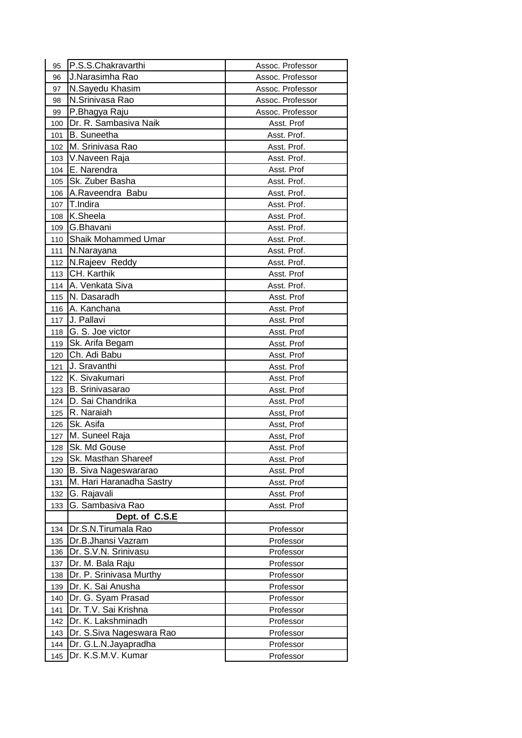| 95  | P.S.S.Chakravarthi         | Assoc. Professor |
|-----|----------------------------|------------------|
| 96  | J.Narasimha Rao            | Assoc. Professor |
| 97  | N.Sayedu Khasim            | Assoc. Professor |
| 98  | N.Srinivasa Rao            | Assoc. Professor |
| 99  | P.Bhagya Raju              | Assoc. Professor |
| 100 | Dr. R. Sambasiva Naik      | Asst. Prof       |
| 101 | B. Suneetha                | Asst. Prof.      |
| 102 | M. Srinivasa Rao           | Asst. Prof.      |
| 103 | V.Naveen Raja              | Asst. Prof.      |
| 104 | E. Narendra                | Asst. Prof       |
| 105 | Sk. Zuber Basha            | Asst. Prof.      |
| 106 | A.Raveendra Babu           | Asst. Prof.      |
| 107 | T.Indira                   | Asst. Prof.      |
| 108 | K.Sheela                   | Asst. Prof.      |
| 109 | G.Bhavani                  | Asst. Prof.      |
| 110 | <b>Shaik Mohammed Umar</b> | Asst. Prof.      |
| 111 | N.Narayana                 | Asst. Prof.      |
| 112 | N.Rajeev Reddy             | Asst. Prof.      |
| 113 | CH. Karthik                | Asst. Prof       |
| 114 | A. Venkata Siva            | Asst. Prof.      |
| 115 | N. Dasaradh                | Asst. Prof       |
| 116 | A. Kanchana                | Asst. Prof       |
| 117 | J. Pallavi                 | Asst. Prof       |
| 118 | G. S. Joe victor           | Asst. Prof       |
| 119 | Sk. Arifa Begam            | Asst. Prof       |
| 120 | Ch. Adi Babu               | Asst. Prof       |
| 121 | J. Sravanthi               | Asst. Prof       |
| 122 | K. Sivakumari              | Asst. Prof       |
| 123 | B. Srinivasarao            | Asst. Prof       |
| 124 | D. Sai Chandrika           | Asst. Prof       |
| 125 | R. Naraiah                 | Asst, Prof       |
| 126 | Sk. Asifa                  | Asst, Prof       |
| 127 | M. Suneel Raja             | Asst, Prof       |
| 128 | Sk. Md Gouse               | Asst. Prof       |
| 129 | Sk. Masthan Shareef        | Asst. Prof       |
| 130 | B. Siva Nageswararao       | Asst. Prof       |
| 131 | M. Hari Haranadha Sastry   | Asst. Prof       |
| 132 | G. Rajavali                | Asst. Prof       |
| 133 | G. Sambasiva Rao           | Asst. Prof       |
|     | Dept. of C.S.E             |                  |
| 134 | Dr.S.N.Tirumala Rao        | Professor        |
| 135 | Dr.B.Jhansi Vazram         | Professor        |
| 136 | Dr. S.V.N. Srinivasu       | Professor        |
| 137 | Dr. M. Bala Raju           | Professor        |
| 138 | Dr. P. Srinivasa Murthy    | Professor        |
| 139 | Dr. K. Sai Anusha          | Professor        |
| 140 | Dr. G. Syam Prasad         | Professor        |
| 141 | Dr. T.V. Sai Krishna       | Professor        |
| 142 | Dr. K. Lakshminadh         | Professor        |
| 143 | Dr. S. Siva Nageswara Rao  | Professor        |
| 144 | Dr. G.L.N.Jayapradha       | Professor        |
| 145 | Dr. K.S.M.V. Kumar         | Professor        |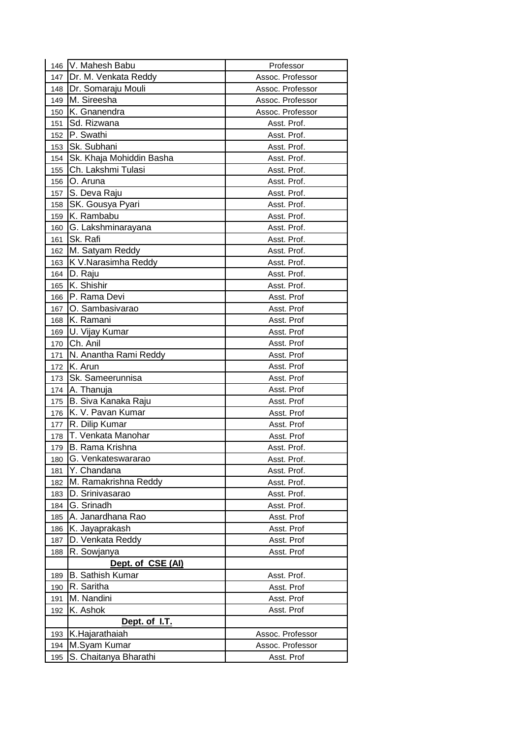|     | 146 V. Mahesh Babu       | Professor        |
|-----|--------------------------|------------------|
| 147 | Dr. M. Venkata Reddy     | Assoc. Professor |
| 148 | Dr. Somaraju Mouli       | Assoc. Professor |
| 149 | M. Sireesha              | Assoc. Professor |
| 150 | K. Gnanendra             | Assoc. Professor |
| 151 | Sd. Rizwana              | Asst. Prof.      |
| 152 | P. Swathi                | Asst. Prof.      |
| 153 | Sk. Subhani              | Asst. Prof.      |
| 154 | Sk. Khaja Mohiddin Basha | Asst. Prof.      |
| 155 | Ch. Lakshmi Tulasi       | Asst. Prof.      |
| 156 | O. Aruna                 | Asst. Prof.      |
| 157 | S. Deva Raju             | Asst. Prof.      |
| 158 | SK. Gousya Pyari         | Asst. Prof.      |
| 159 | K. Rambabu               | Asst. Prof.      |
| 160 | G. Lakshminarayana       | Asst. Prof.      |
| 161 | Sk. Rafi                 | Asst. Prof.      |
| 162 | M. Satyam Reddy          | Asst. Prof.      |
| 163 | K V.Narasimha Reddy      | Asst. Prof.      |
| 164 | D. Raju                  | Asst. Prof.      |
| 165 | K. Shishir               | Asst. Prof.      |
| 166 | P. Rama Devi             | Asst. Prof       |
| 167 | O. Sambasivarao          | Asst. Prof       |
| 168 | K. Ramani                | Asst. Prof       |
| 169 | U. Vijay Kumar           | Asst. Prof       |
| 170 | Ch. Anil                 | Asst. Prof       |
| 171 | N. Anantha Rami Reddy    | Asst. Prof       |
| 172 | K. Arun                  | Asst. Prof       |
| 173 | Sk. Sameerunnisa         | Asst. Prof       |
| 174 | A. Thanuja               | Asst. Prof       |
| 175 | B. Siva Kanaka Raju      | Asst. Prof       |
| 176 | K. V. Pavan Kumar        | Asst. Prof       |
| 177 | R. Dilip Kumar           | Asst. Prof       |
| 178 | T. Venkata Manohar       | Asst. Prof       |
| 179 | B. Rama Krishna          | Asst. Prof.      |
| 180 | G. Venkateswararao       | Asst. Prof.      |
| 181 | Y. Chandana              | Asst. Prof.      |
| 182 | M. Ramakrishna Reddy     | Asst. Prof.      |
| 183 | D. Srinivasarao          | Asst. Prof.      |
| 184 | G. Srinadh               | Asst. Prof.      |
| 185 | A. Janardhana Rao        | Asst. Prof       |
| 186 | K. Jayaprakash           | Asst. Prof       |
| 187 | D. Venkata Reddy         | Asst. Prof       |
| 188 | R. Sowjanya              | Asst. Prof       |
|     | Dept. of CSE (AI)        |                  |
| 189 | <b>B.</b> Sathish Kumar  | Asst. Prof.      |
| 190 | R. Saritha               | Asst. Prof       |
| 191 | M. Nandini               | Asst. Prof       |
| 192 | K. Ashok                 | Asst. Prof       |
|     | Dept. of I.T.            |                  |
| 193 | K.Hajarathaiah           | Assoc. Professor |
| 194 | M.Syam Kumar             | Assoc. Professor |
| 195 | S. Chaitanya Bharathi    | Asst. Prof       |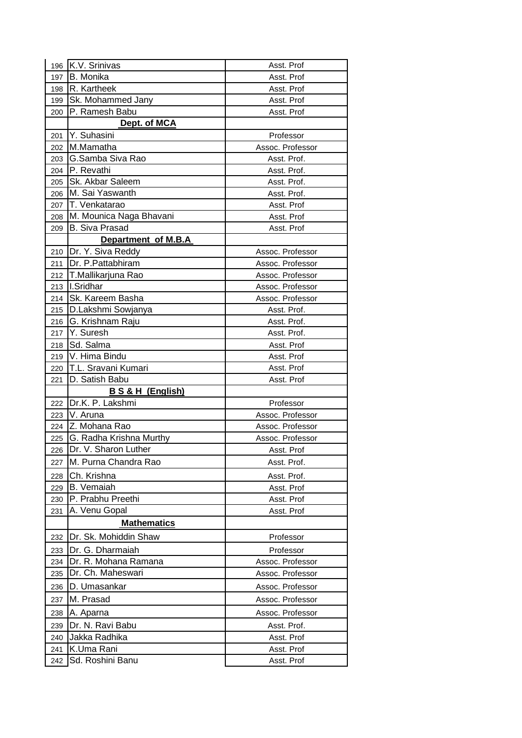| 196 | K.V. Srinivas           | Asst. Prof       |
|-----|-------------------------|------------------|
| 197 | B. Monika               | Asst. Prof       |
| 198 | R. Kartheek             | Asst. Prof       |
| 199 | Sk. Mohammed Jany       | Asst. Prof       |
| 200 | P. Ramesh Babu          | Asst. Prof       |
|     | Dept. of MCA            |                  |
| 201 | Y. Suhasini             | Professor        |
| 202 | M.Mamatha               | Assoc. Professor |
| 203 | G.Samba Siva Rao        | Asst. Prof.      |
| 204 | P. Revathi              | Asst. Prof.      |
| 205 | Sk. Akbar Saleem        | Asst. Prof.      |
| 206 | M. Sai Yaswanth         | Asst. Prof.      |
| 207 | T. Venkatarao           | Asst. Prof       |
| 208 | M. Mounica Naga Bhavani | Asst. Prof       |
| 209 | <b>B. Siva Prasad</b>   | Asst. Prof       |
|     | Department of M.B.A     |                  |
| 210 | Dr. Y. Siva Reddy       | Assoc. Professor |
| 211 | Dr. P. Pattabhiram      | Assoc. Professor |
| 212 | T.Mallikarjuna Rao      | Assoc. Professor |
| 213 | I.Sridhar               | Assoc. Professor |
| 214 | Sk. Kareem Basha        | Assoc. Professor |
| 215 | D.Lakshmi Sowjanya      | Asst. Prof.      |
| 216 | G. Krishnam Raju        | Asst. Prof.      |
| 217 | Y. Suresh               | Asst. Prof.      |
| 218 | Sd. Salma               | Asst. Prof       |
| 219 | V. Hima Bindu           | Asst. Prof       |
| 220 | T.L. Sravani Kumari     | Asst. Prof       |
| 221 | D. Satish Babu          | Asst. Prof       |
|     | B S & H (English)       |                  |
| 222 | Dr.K. P. Lakshmi        | Professor        |
| 223 | V. Aruna                | Assoc. Professor |
| 224 | Z. Mohana Rao           | Assoc. Professor |
| 225 | G. Radha Krishna Murthy | Assoc. Professor |
| 226 | Dr. V. Sharon Luther    | Asst. Prof       |
| 227 | M. Purna Chandra Rao    | Asst. Prof.      |
| 228 | Ch. Krishna             | Asst. Prof.      |
| 229 | <b>B.</b> Vemaiah       | Asst. Prof       |
| 230 | P. Prabhu Preethi       | Asst. Prof       |
| 231 | A. Venu Gopal           | Asst. Prof       |
|     | <b>Mathematics</b>      |                  |
| 232 | Dr. Sk. Mohiddin Shaw   | Professor        |
| 233 | Dr. G. Dharmaiah        | Professor        |
| 234 | Dr. R. Mohana Ramana    | Assoc. Professor |
| 235 | Dr. Ch. Maheswari       | Assoc. Professor |
| 236 | D. Umasankar            | Assoc. Professor |
| 237 | M. Prasad               | Assoc. Professor |
| 238 | A. Aparna               | Assoc. Professor |
| 239 | Dr. N. Ravi Babu        | Asst. Prof.      |
| 240 | Jakka Radhika           | Asst. Prof       |
| 241 | K.Uma Rani              | Asst. Prof       |
| 242 | Sd. Roshini Banu        | Asst. Prof       |
|     |                         |                  |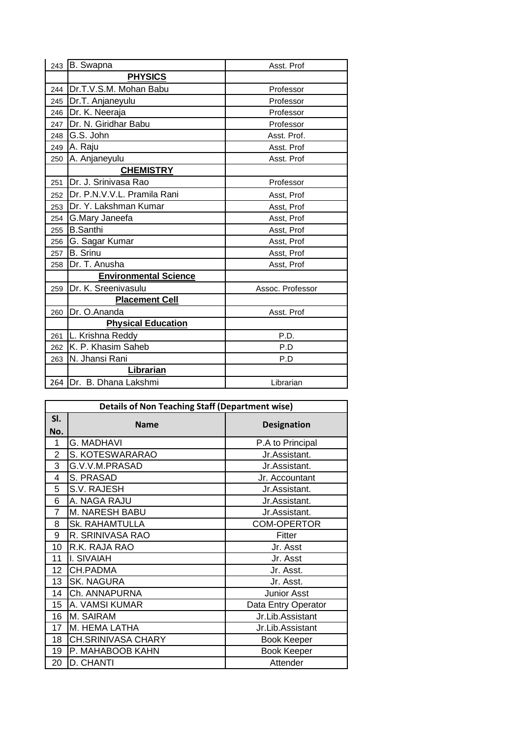|     | 243 B. Swapna                | Asst. Prof       |
|-----|------------------------------|------------------|
|     | <b>PHYSICS</b>               |                  |
| 244 | Dr.T.V.S.M. Mohan Babu       | Professor        |
| 245 | Dr.T. Anjaneyulu             | Professor        |
| 246 | Dr. K. Neeraja               | Professor        |
| 247 | Dr. N. Giridhar Babu         | Professor        |
| 248 | G.S. John                    | Asst. Prof.      |
| 249 | A. Raju                      | Asst. Prof       |
| 250 | A. Anjaneyulu                | Asst. Prof       |
|     | <b>CHEMISTRY</b>             |                  |
| 251 | Dr. J. Srinivasa Rao         | Professor        |
| 252 | Dr. P.N.V.V.L. Pramila Rani  | Asst, Prof       |
| 253 | Dr. Y. Lakshman Kumar        | Asst, Prof       |
| 254 | G.Mary Janeefa               | Asst, Prof       |
| 255 | <b>B.Santhi</b>              | Asst, Prof       |
| 256 | G. Sagar Kumar               | Asst, Prof       |
| 257 | <b>B.</b> Srinu              | Asst, Prof       |
| 258 | Dr. T. Anusha                | Asst, Prof       |
|     | <b>Environmental Science</b> |                  |
| 259 | Dr. K. Sreenivasulu          | Assoc. Professor |
|     | <b>Placement Cell</b>        |                  |
| 260 | Dr. O.Ananda                 | Asst. Prof       |
|     | <b>Physical Education</b>    |                  |
| 261 | L. Krishna Reddy             | P.D.             |
| 262 | K. P. Khasim Saheb           | P.D              |
| 263 | N. Jhansi Rani               | P.D              |
|     | <b>Librarian</b>             |                  |
|     | 264 Dr. B. Dhana Lakshmi     | Librarian        |

| <b>Details of Non Teaching Staff (Department wise)</b> |                       |                     |
|--------------------------------------------------------|-----------------------|---------------------|
| SI.                                                    | <b>Name</b>           | <b>Designation</b>  |
| No.                                                    |                       |                     |
| 1                                                      | <b>G. MADHAVI</b>     | P.A to Principal    |
| $\overline{2}$                                         | S. KOTESWARARAO       | Jr.Assistant.       |
| 3                                                      | G.V.V.M.PRASAD        | Jr.Assistant.       |
| 4                                                      | S. PRASAD             | Jr. Accountant      |
| 5                                                      | S.V. RAJESH           | Jr.Assistant.       |
| 6                                                      | A. NAGA RAJU          | Jr.Assistant.       |
| 7                                                      | M. NARESH BABU        | Jr.Assistant.       |
| 8                                                      | <b>Sk. RAHAMTULLA</b> | <b>COM-OPERTOR</b>  |
| 9                                                      | R. SRINIVASA RAO      | Fitter              |
| 10                                                     | R.K. RAJA RAO         | Jr. Asst            |
| 11                                                     | I. SIVAIAH            | Jr. Asst            |
| 12                                                     | <b>CH.PADMA</b>       | Jr. Asst.           |
| 13                                                     | <b>SK. NAGURA</b>     | Jr. Asst.           |
| 14                                                     | Ch. ANNAPURNA         | <b>Junior Asst</b>  |
| 15                                                     | A. VAMSI KUMAR        | Data Entry Operator |
| 16                                                     | M. SAIRAM             | Jr.Lib.Assistant    |
| 17                                                     | M. HEMA LATHA         | Jr.Lib.Assistant    |
| 18                                                     | CH.SRINIVASA CHARY    | <b>Book Keeper</b>  |
| 19                                                     | P. MAHABOOB KAHN      | <b>Book Keeper</b>  |
| 20                                                     | D. CHANTI             | Attender            |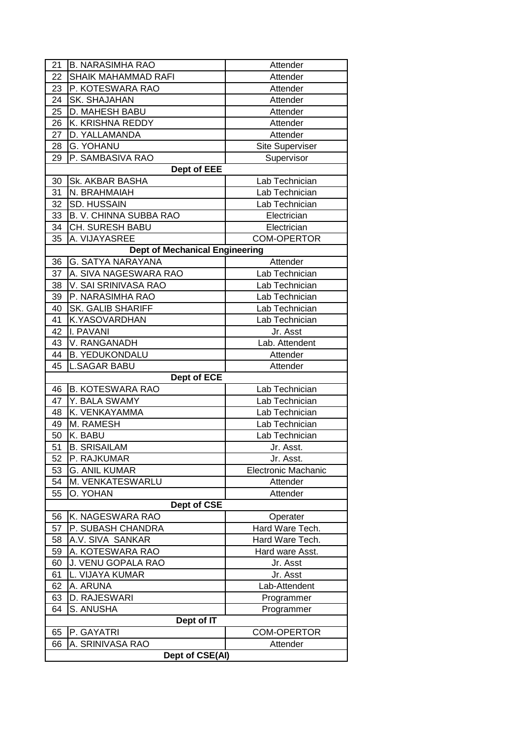| 22               | <b>B. NARASIMHA RAO</b><br><b>SHAIK MAHAMMAD RAFI</b> | Attender<br>Attender                    |
|------------------|-------------------------------------------------------|-----------------------------------------|
| 23               | P. KOTESWARA RAO                                      | Attender                                |
| 24               | SK. SHAJAHAN                                          | Attender                                |
| 25               | D. MAHESH BABU                                        | Attender                                |
| 26               | K. KRISHNA REDDY                                      | Attender                                |
| 27               | D. YALLAMANDA                                         | Attender                                |
| 28               | <b>G. YOHANU</b>                                      | <b>Site Superviser</b>                  |
| 29               | P. SAMBASIVA RAO                                      | Supervisor                              |
|                  | <b>Dept of EEE</b>                                    |                                         |
| 30               | Sk. AKBAR BASHA                                       | Lab Technician                          |
| 31               | N. BRAHMAIAH                                          | Lab Technician                          |
| 32               | <b>SD. HUSSAIN</b>                                    | Lab Technician                          |
| 33               | B. V. CHINNA SUBBA RAO                                | Electrician                             |
| 34               | <b>CH. SURESH BABU</b>                                | Electrician                             |
| 35               | A. VIJAYASREE                                         | <b>COM-OPERTOR</b>                      |
|                  | <b>Dept of Mechanical Engineering</b>                 |                                         |
|                  | <b>G. SATYA NARAYANA</b>                              |                                         |
| 36<br>37         | A. SIVA NAGESWARA RAO                                 | Attender<br>Lab Technician              |
| 38               |                                                       | Lab Technician                          |
|                  | V. SAI SRINIVASA RAO<br>P. NARASIMHA RAO              | Lab Technician                          |
| 39<br>40         | <b>SK. GALIB SHARIFF</b>                              | Lab Technician                          |
|                  |                                                       |                                         |
| 41<br>42         | K.YASOVARDHAN<br>I. PAVANI                            | Lab Technician                          |
| 43               |                                                       | Jr. Asst                                |
|                  | V. RANGANADH                                          | Lab. Attendent                          |
| 44               | <b>B. YEDUKONDALU</b>                                 | Attender                                |
| 45               | <b>L.SAGAR BABU</b>                                   | Attender                                |
|                  | Dept of ECE                                           |                                         |
| 46               | <b>B. KOTESWARA RAO</b>                               | Lab Technician                          |
| 47               | Y. BALA SWAMY                                         | Lab Technician                          |
| 48               | K. VENKAYAMMA                                         | Lab Technician                          |
| 49               | M. RAMESH                                             | Lab Technician                          |
| 50<br>51         | K. BABU                                               | Lab Technician                          |
|                  | <b>B. SRISAILAM</b><br>P. RAJKUMAR                    | Jr. Asst.                               |
| 52               |                                                       | Jr. Asst.<br><b>Electronic Machanic</b> |
| 53               | <b>G. ANIL KUMAR</b><br>M. VENKATESWARLU              | Attender                                |
| 54<br>55         | O. YOHAN                                              | Attender                                |
|                  | Dept of CSE                                           |                                         |
| 56               | K. NAGESWARA RAO                                      | Operater                                |
| 57               | P. SUBASH CHANDRA                                     | Hard Ware Tech.                         |
| 58               | A.V. SIVA SANKAR                                      | Hard Ware Tech.                         |
| 59               | A. KOTESWARA RAO                                      | Hard ware Asst.                         |
|                  | J. VENU GOPALA RAO                                    |                                         |
| 60               | L. VIJAYA KUMAR                                       | Jr. Asst<br>Jr. Asst                    |
| 61               |                                                       |                                         |
| 62               | A. ARUNA                                              | Lab-Attendent                           |
| 63               | D. RAJESWARI<br>S. ANUSHA                             | Programmer                              |
| 64<br>Programmer |                                                       |                                         |
|                  | Dept of IT<br>P. GAYATRI                              |                                         |
| 65               |                                                       | <b>COM-OPERTOR</b>                      |
| 66               | A. SRINIVASA RAO<br>Dept of CSE(Al)                   | Attender                                |
|                  |                                                       |                                         |